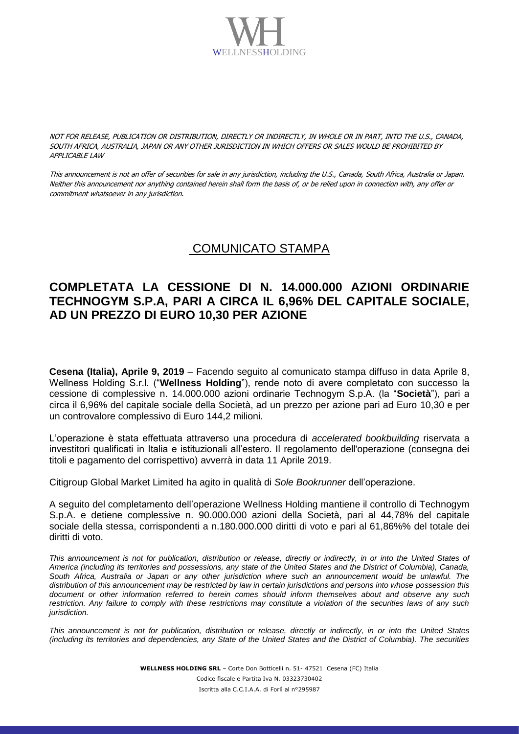

NOT FOR RELEASE, PUBLICATION OR DISTRIBUTION, DIRECTLY OR INDIRECTLY, IN WHOLE OR IN PART, INTO THE U.S., CANADA, SOUTH AFRICA, AUSTRALIA, JAPAN OR ANY OTHER JURISDICTION IN WHICH OFFERS OR SALES WOULD BE PROHIBITED BY APPLICABLE LAW

This announcement is not an offer of securities for sale in any jurisdiction, including the U.S., Canada, South Africa, Australia or Japan. Neither this announcement nor anything contained herein shall form the basis of, or be relied upon in connection with, any offer or commitment whatsoever in any jurisdiction.

## COMUNICATO STAMPA

## **COMPLETATA LA CESSIONE DI N. 14.000.000 AZIONI ORDINARIE TECHNOGYM S.P.A, PARI A CIRCA IL 6,96% DEL CAPITALE SOCIALE, AD UN PREZZO DI EURO 10,30 PER AZIONE**

**Cesena (Italia), Aprile 9, 2019** – Facendo seguito al comunicato stampa diffuso in data Aprile 8, Wellness Holding S.r.l. ("**Wellness Holding**"), rende noto di avere completato con successo la cessione di complessive n. 14.000.000 azioni ordinarie Technogym S.p.A. (la "**Società**"), pari a circa il 6,96% del capitale sociale della Società, ad un prezzo per azione pari ad Euro 10,30 e per un controvalore complessivo di Euro 144,2 milioni.

L'operazione è stata effettuata attraverso una procedura di *accelerated bookbuilding* riservata a investitori qualificati in Italia e istituzionali all'estero. Il regolamento dell'operazione (consegna dei titoli e pagamento del corrispettivo) avverrà in data 11 Aprile 2019.

Citigroup Global Market Limited ha agito in qualità di *Sole Bookrunner* dell'operazione.

A seguito del completamento dell'operazione Wellness Holding mantiene il controllo di Technogym S.p.A. e detiene complessive n. 90.000.000 azioni della Società, pari al 44,78% del capitale sociale della stessa, corrispondenti a n.180.000.000 diritti di voto e pari al 61,86%% del totale dei diritti di voto.

*This announcement is not for publication, distribution or release, directly or indirectly, in or into the United States of America (including its territories and possessions, any state of the United States and the District of Columbia), Canada, South Africa, Australia or Japan or any other jurisdiction where such an announcement would be unlawful. The distribution of this announcement may be restricted by law in certain jurisdictions and persons into whose possession this document or other information referred to herein comes should inform themselves about and observe any such restriction. Any failure to comply with these restrictions may constitute a violation of the securities laws of any such jurisdiction.*

*This announcement is not for publication, distribution or release, directly or indirectly, in or into the United States (including its territories and dependencies, any State of the United States and the District of Columbia). The securities* 

> **WELLNESS HOLDING SRL** – Corte Don Botticelli n. 51- 47521 Cesena (FC) Italia Codice fiscale e Partita Iva N. 03323730402 Iscritta alla C.C.I.A.A. di Forlì al n°295987